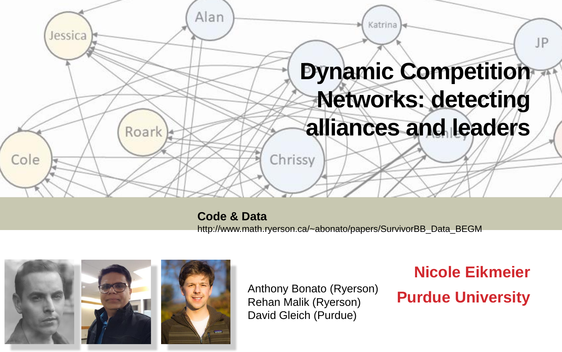

**Code & Data**  http://www.math.ryerson.ca/~abonato/papers/SurvivorBB\_Data\_BEGM



Anthony Bonato (Ryerson)<br>Rehan Malik (Ryerson) **Purdue University** Rehan Malik (Ryerson) David Gleich (Purdue)

**Nicole Eikmeier**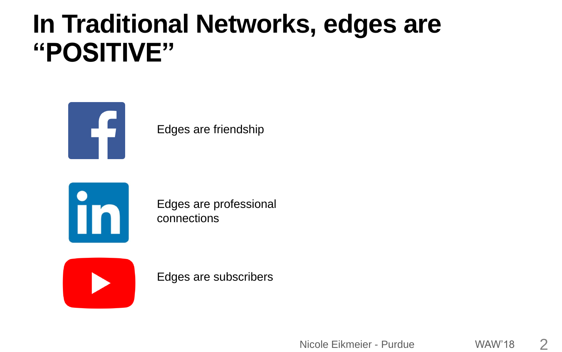## **In Traditional Networks, edges are "POSITIVE"**



Edges are friendship



Edges are professional connections

Edges are subscribers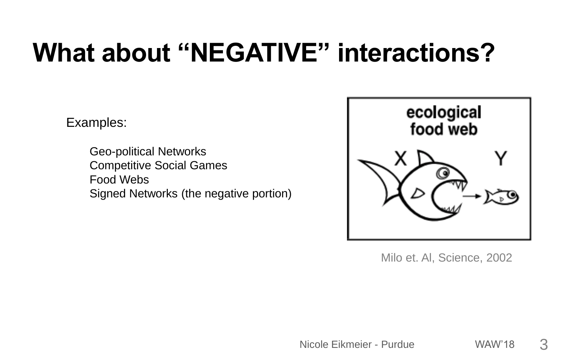# **What about "NEGATIVE" interactions?**

Examples:

Geo-political Networks Competitive Social Games Food Webs Signed Networks (the negative portion)



Milo et. Al, Science, 2002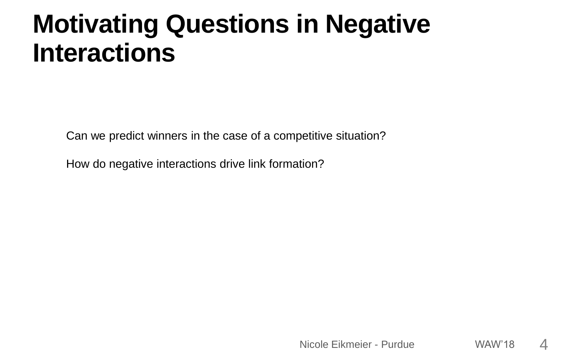# **Motivating Questions in Negative Interactions**

Can we predict winners in the case of a competitive situation?

How do negative interactions drive link formation?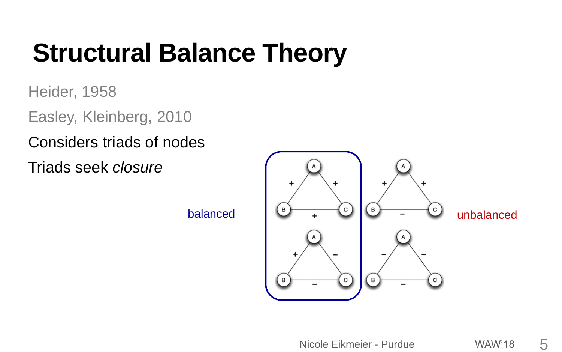# **Structural Balance Theory**

Heider, 1958

Easley, Kleinberg, 2010

Considers triads of nodes

Triads seek *closure*

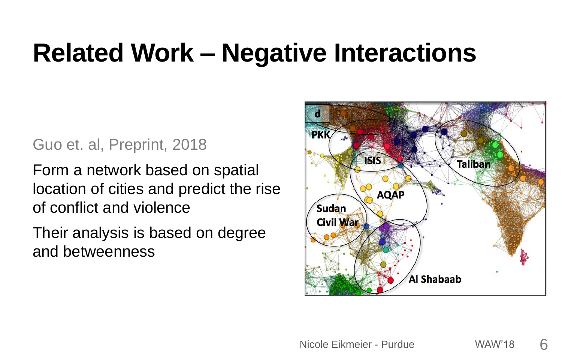# **Related Work – Negative Interactions**

### Guo et. al, Preprint, 2018

Form a network based on spatial location of cities and predict the rise of conflict and violence

Their analysis is based on degree and betweenness

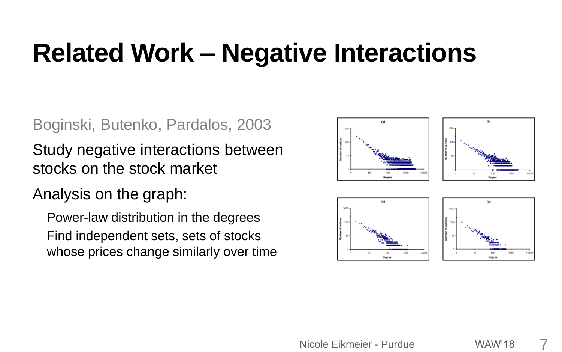# **Related Work – Negative Interactions**

### Boginski, Butenko, Pardalos, 2003

Study negative interactions between stocks on the stock market

### Analysis on the graph:

Power-law distribution in the degrees Find independent sets, sets of stocks whose prices change similarly over time

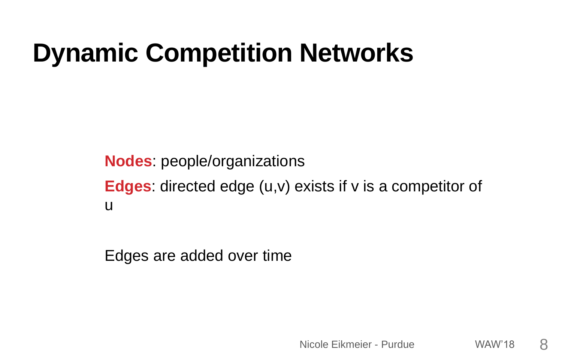# **Dynamic Competition Networks**

**Nodes**: people/organizations **Edges**: directed edge (u,v) exists if v is a competitor of u

Edges are added over time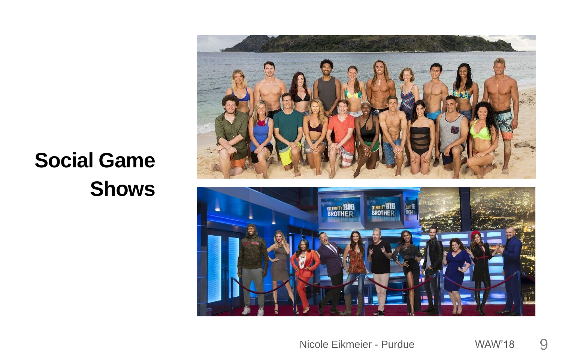### **Social Game Shows**

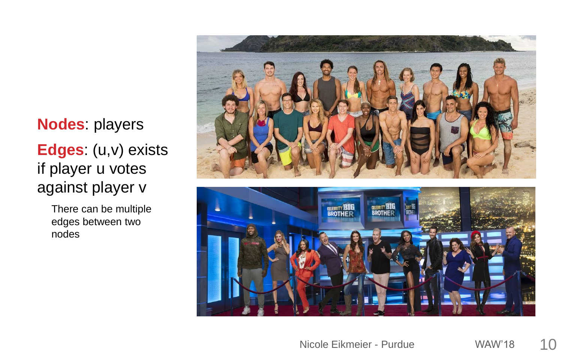**Nodes**: players **Edges**: (u,v) exists if player u votes against player v

> There can be multiple edges between two nodes



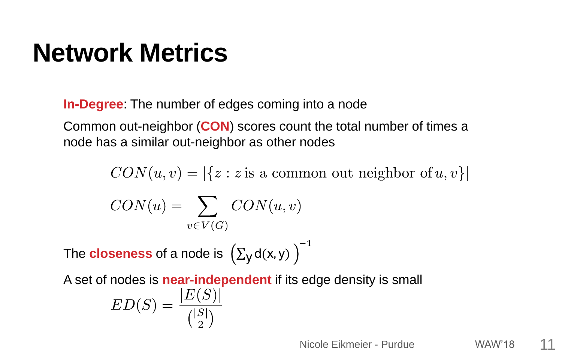# **Network Metrics**

**In-Degree**: The number of edges coming into a node

Common out-neighbor (**CON**) scores count the total number of times a node has a similar out-neighbor as other nodes

 $CON(u, v) = |\{z : z \text{ is a common out neighbor of } u, v\}|$  $CON(u) = \sum CON(u, v)$  $v \in V(G)$ 

The  $\mathsf{closeness}$  of a node is  $\big(\Sigma_\mathsf{y}\mathsf{d}(\mathsf{x}, \mathsf{y})$ −1

A set of nodes is **near-independent** if its edge density is small

$$
ED(S) = \frac{|E(S)|}{{|S| \choose 2}}
$$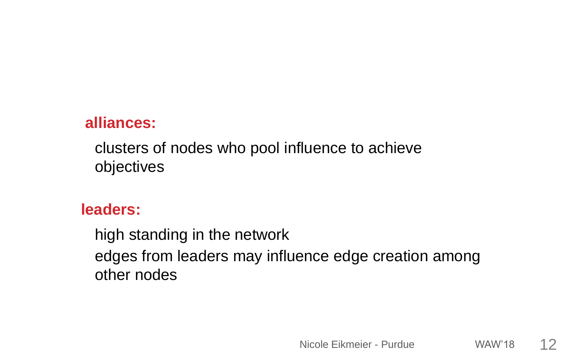### **alliances:**

clusters of nodes who pool influence to achieve objectives

### **leaders:**

high standing in the network edges from leaders may influence edge creation among other nodes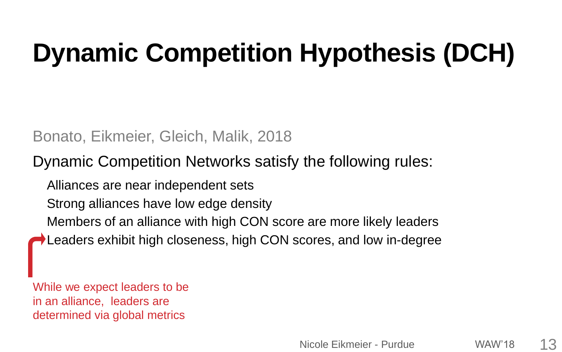# **Dynamic Competition Hypothesis (DCH)**

### Bonato, Eikmeier, Gleich, Malik, 2018

### Dynamic Competition Networks satisfy the following rules:

Alliances are near independent sets

Strong alliances have low edge density

Members of an alliance with high CON score are more likely leaders

Leaders exhibit high closeness, high CON scores, and low in-degree

While we expect leaders to be in an alliance, leaders are determined via global metrics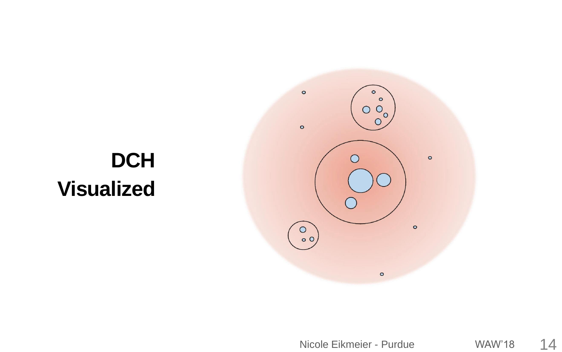### $\bullet$  $\circ$  $\circ$  $\circ$  $\circ$  $\bigcirc$  $\begin{pmatrix} 0 \\ 0 \\ 0 \end{pmatrix}$  $\circ$  $\circ$

## **DCH Visualized**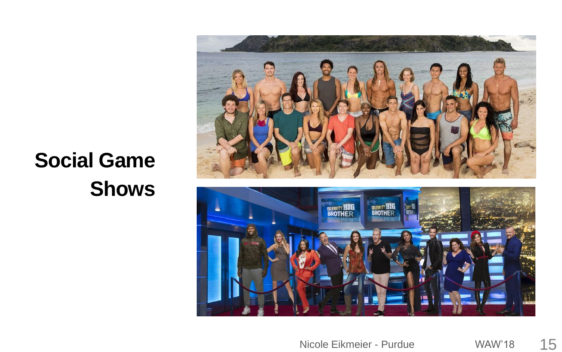### **Social Game Shows**

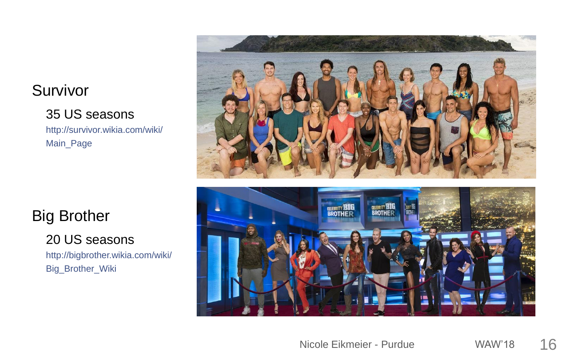### Survivor

### 35 US seasons http://survivor.wikia.com/wiki/ Main\_Page

### Big Brother

20 US seasons

http://bigbrother.wikia.com/wiki/ Big\_Brother\_Wiki



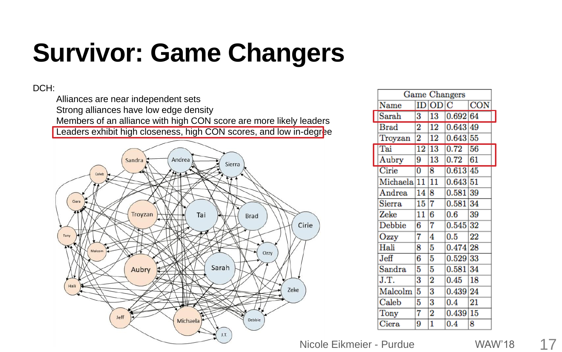# **Survivor: Game Changers**

#### DCH:

Alliances are near independent sets Strong alliances have low edge density Members of an alliance with high CON score are more likely leaders Leaders exhibit high closeness, high CON scores, and low in-degree



| Game Changers    |                 |                 |          |                 |  |  |
|------------------|-----------------|-----------------|----------|-----------------|--|--|
| Name             | ID              | OD <sub>1</sub> | С        | <b>CON</b>      |  |  |
| Sarah            | 3               | 13              | 0.692 64 |                 |  |  |
| Brad             | 2               | $\overline{12}$ | 0.643    | 49              |  |  |
| Troyzan          | 2               | 12              | 0.643    | 55              |  |  |
| Tai              | $\overline{12}$ | 13              | 0.72     | $\overline{56}$ |  |  |
| Aubry            | 9               | 13              | 0.72     | 61              |  |  |
| Cirie            | $\overline{0}$  | 8               | 0.613    | 45              |  |  |
| Michaela         | 11              | 11              | 0.643    | 51              |  |  |
| Andrea           | 14              | 8               | 0.581    | 39              |  |  |
| Sierra           | 15              | 7               | 0.581    | 34              |  |  |
| Zeke             | 11              | 6               | 0.6      | 39              |  |  |
| Debbie           | 6               | 7               | 0.545    | 32              |  |  |
| Ozzy             | 7               | 4               | 0.5      | $^{22}$         |  |  |
| Hali             | 8               | 5               | 0.474 28 |                 |  |  |
| J <sub>eff</sub> | 6               | 5               | 0.529    | 33              |  |  |
| Sandra           | 5               | 5               | 0.581    | 34              |  |  |
| J.T.             | 3               | 2               | 0.45     | 18              |  |  |
| Malcolm          | 5               | 3               | 0.439    | 24              |  |  |
| $_{\rm Caleb}$   | 5               | 3               | 0.4      | 21              |  |  |
| Tony             | 7               | 2               | 0.439    | 15              |  |  |
| Ciera            | 9               | 1               | 0.4      | 8               |  |  |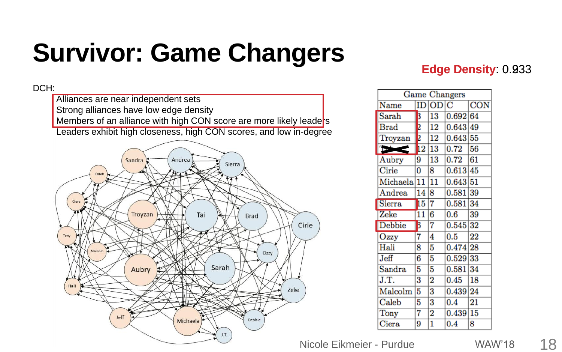# **Survivor: Game Changers**

#### DCH:

Alliances are near independent sets Strong alliances have low edge density Members of an alliance with high CON score are more likely leade<sup>t</sup>s Leaders exhibit high closeness, high CON scores, and low in-degree



### **Edge Density: 0.233**

| Game Changers          |                |                 |          |            |  |  |  |
|------------------------|----------------|-----------------|----------|------------|--|--|--|
| Name                   | ID             | OD <sub>1</sub> | C        | <b>CON</b> |  |  |  |
| Sarah                  | 3              | 13              | 0.692 64 |            |  |  |  |
| <b>Brad</b>            | $\frac{2}{2}$  | 12              | 0.643    | 49         |  |  |  |
| Troyzan                |                | 12              | 0.643 55 |            |  |  |  |
| Bisch                  | $\frac{1}{12}$ | 13              | 0.72     | 56         |  |  |  |
| Aubry                  | 9              | 13              | 0.72     | 61         |  |  |  |
| Cirie                  | 0              | 8               | 0.613    | 45         |  |  |  |
| Michaela <sup>11</sup> |                | 11              | 0.643 51 |            |  |  |  |
| Andrea                 | 14             | 8               | 0.581    | 39         |  |  |  |
| Sierra                 | 15             | 7               | 0.581    | 34         |  |  |  |
| Zeke                   | 11             | 6               | 0.6      | 39         |  |  |  |
| Debbie                 | 6              | 7               | 0.545    | 32         |  |  |  |
| Ozzy                   | 7              | 4               | 0.5      | 22         |  |  |  |
| Hali                   | 8              | 5               | 0.474 28 |            |  |  |  |
| Jeff                   | 6              | 5               | 0.529 33 |            |  |  |  |
| Sandra                 | 5              | 5               | 0.581    | 34         |  |  |  |
| J.T.                   | 3              | $\overline{2}$  | 0.45     | 18         |  |  |  |
| Malcolm                | 5              | 3               | 0.439    | 24         |  |  |  |
| Caleb                  | 5              | 3               | 0.4      | 21         |  |  |  |
| Tony                   | 7              | 2               | 0.439    | 15         |  |  |  |
| Ciera                  | 9              | $\mathbf{1}$    | $_{0.4}$ | 8          |  |  |  |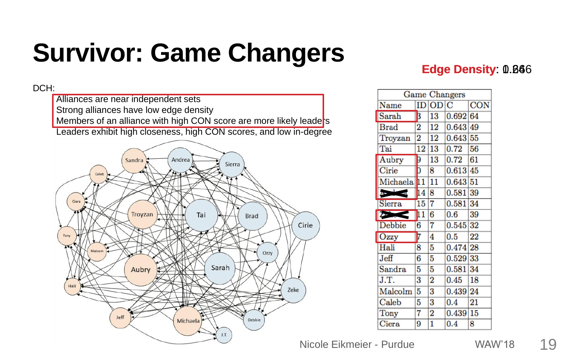# **Survivor: Game Changers**

DCH:

Alliances are near independent sets Strong alliances have low edge density Members of an alliance with high CON score are more likely leade<sup>t</sup>s Leaders exhibit high closeness, high CON scores, and low in-degree



### **Edge Density: 0.866**

| Game<br>Changers  |           |                 |          |                 |  |  |  |
|-------------------|-----------|-----------------|----------|-----------------|--|--|--|
| Name              | ID        | $\overline{OD}$ | C        | <b>CON</b>      |  |  |  |
| Sarah             | $\vert$ 3 | 13              | 0.692 64 |                 |  |  |  |
| <b>Brad</b>       | 2         | 12              | 0.643    | 49              |  |  |  |
| Troyzan           | 2         | 12              | 0.643    | 55              |  |  |  |
| Tai               | 12        | 13              | 0.72     | 56              |  |  |  |
| Aubry             | 9         | 13              | 0.72     | 61              |  |  |  |
| Cirie             | ō         | 8               | 0.613    | 45              |  |  |  |
| Michaela          | 11        | 11              | 0.643    | 51              |  |  |  |
| $A = \frac{1}{2}$ | 14        | 8               | 0.581    | 39              |  |  |  |
| Sierra            | 15        | 7               | 0.581    | 34              |  |  |  |
| $\sum_{i=1}^{n}$  | 11        | 6               | 0.6      | 39              |  |  |  |
| Debbie            | 6         | 7               | 0.545    | 32              |  |  |  |
| Ozzy              | 17        | 4               | 0.5      | $\overline{22}$ |  |  |  |
| Hali              | 8         | 5               | 0.474 28 |                 |  |  |  |
| Jeff              | 6         | 5               | 0.529    | 33              |  |  |  |
| Sandra            | 5         | 5               | 0.581    | 34              |  |  |  |
| J.T.              | 3         | 2               | 0.45     | 18              |  |  |  |
| Malcolm           | 5         | 3               | 0.439    | 24              |  |  |  |
| Caleb             | 5         | 3               | $0.4\,$  | 21              |  |  |  |
| Tony              | 7         | 2               | 0.439    | 15              |  |  |  |
| Ciera             | 9         | 1               | 0.4      | 8               |  |  |  |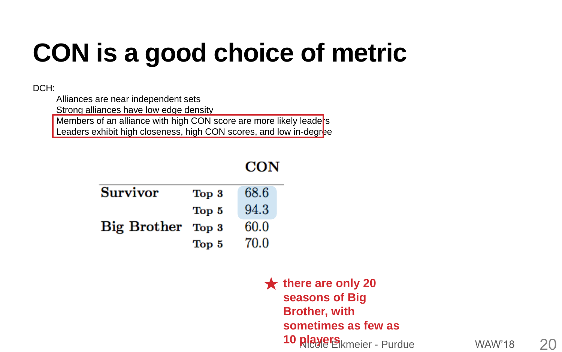# **CON is a good choice of metric**

CON

#### DCH:

Alliances are near independent sets

Strong alliances have low edge density

Members of an alliance with high CON score are more likely leade<sup>rs</sup> Leaders exhibit high closeness, high CON scores, and low in-degree

#### **Survivor** 68.6 Top 3 94.3 Top 5 **Big Brother** 60.0 Top 3 70.0 Top 5

10 **players** kmeier - Purdue WAW'18 20 **there are only 20 seasons of Big Brother, with sometimes as few as**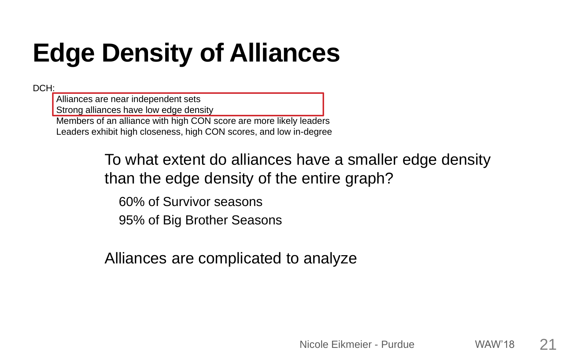# **Edge Density of Alliances**

DCH:

Alliances are near independent sets

Strong alliances have low edge density

Members of an alliance with high CON score are more likely leaders

Leaders exhibit high closeness, high CON scores, and low in-degree

To what extent do alliances have a smaller edge density than the edge density of the entire graph?

60% of Survivor seasons

95% of Big Brother Seasons

Alliances are complicated to analyze